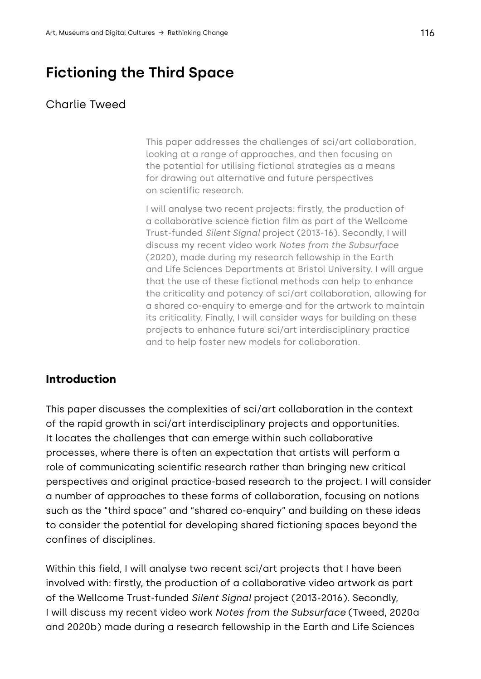# **Fictioning the Third Space**

#### Charlie Tweed

This paper addresses the challenges of sci/art collaboration, looking at a range of approaches, and then focusing on the potential for utilising fictional strategies as a means for drawing out alternative and future perspectives on scientific research.

I will analyse two recent projects: firstly, the production of a collaborative science fiction film as part of the Wellcome Trust-funded *Silent Signal* project (2013-16). Secondly, I will discuss my recent video work *Notes from the Subsurface* (2020), made during my research fellowship in the Earth and Life Sciences Departments at Bristol University. I will argue that the use of these fictional methods can help to enhance the criticality and potency of sci/art collaboration, allowing for a shared co-enquiry to emerge and for the artwork to maintain its criticality. Finally, I will consider ways for building on these projects to enhance future sci/art interdisciplinary practice and to help foster new models for collaboration.

#### **Introduction**

This paper discusses the complexities of sci/art collaboration in the context of the rapid growth in sci/art interdisciplinary projects and opportunities. It locates the challenges that can emerge within such collaborative processes, where there is often an expectation that artists will perform a role of communicating scientific research rather than bringing new critical perspectives and original practice-based research to the project. I will consider a number of approaches to these forms of collaboration, focusing on notions such as the "third space" and "shared co-enquiry" and building on these ideas to consider the potential for developing shared fictioning spaces beyond the confines of disciplines.

Within this field, I will analyse two recent sci/art projects that I have been involved with: firstly, the production of a collaborative video artwork as part of the Wellcome Trust-funded *Silent Signal* project (2013-2016). Secondly, I will discuss my recent video work *Notes from the Subsurface* (Tweed, 2020a and 2020b) made during a research fellowship in the Earth and Life Sciences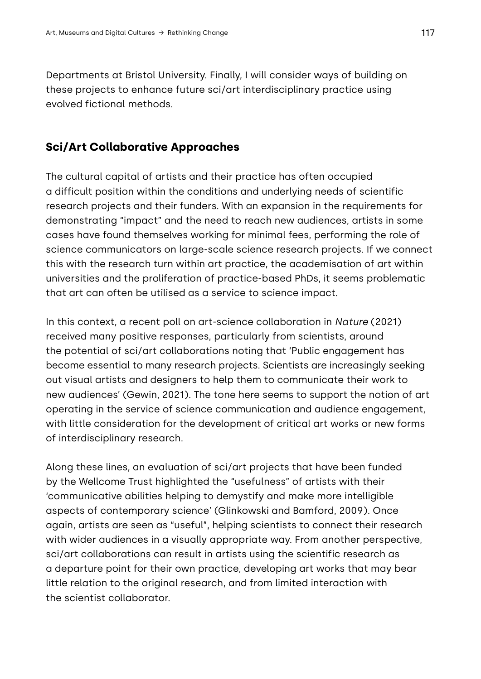Departments at Bristol University. Finally, I will consider ways of building on these projects to enhance future sci/art interdisciplinary practice using evolved fictional methods.

#### **Sci/Art Collaborative Approaches**

The cultural capital of artists and their practice has often occupied a difficult position within the conditions and underlying needs of scientific research projects and their funders. With an expansion in the requirements for demonstrating "impact" and the need to reach new audiences, artists in some cases have found themselves working for minimal fees, performing the role of science communicators on large-scale science research projects. If we connect this with the research turn within art practice, the academisation of art within universities and the proliferation of practice-based PhDs, it seems problematic that art can often be utilised as a service to science impact.

In this context, a recent poll on art-science collaboration in *Nature* (2021) received many positive responses, particularly from scientists, around the potential of sci/art collaborations noting that 'Public engagement has become essential to many research projects. Scientists are increasingly seeking out visual artists and designers to help them to communicate their work to new audiences' (Gewin, 2021). The tone here seems to support the notion of art operating in the service of science communication and audience engagement, with little consideration for the development of critical art works or new forms of interdisciplinary research.

Along these lines, an evaluation of sci/art projects that have been funded by the Wellcome Trust highlighted the "usefulness" of artists with their 'communicative abilities helping to demystify and make more intelligible aspects of contemporary science' (Glinkowski and Bamford, 2009). Once again, artists are seen as "useful", helping scientists to connect their research with wider audiences in a visually appropriate way. From another perspective, sci/art collaborations can result in artists using the scientific research as a departure point for their own practice, developing art works that may bear little relation to the original research, and from limited interaction with the scientist collaborator.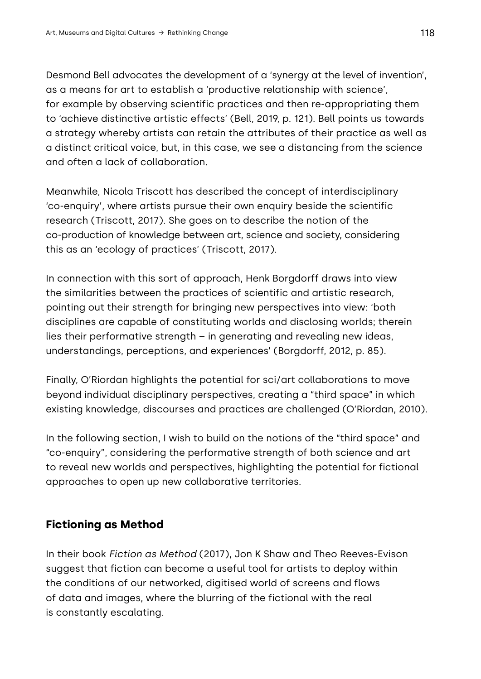Desmond Bell advocates the development of a 'synergy at the level of invention', as a means for art to establish a 'productive relationship with science', for example by observing scientific practices and then re-appropriating them to 'achieve distinctive artistic effects' (Bell, 2019, p. 121). Bell points us towards a strategy whereby artists can retain the attributes of their practice as well as a distinct critical voice, but, in this case, we see a distancing from the science and often a lack of collaboration.

Meanwhile, Nicola Triscott has described the concept of interdisciplinary 'co-enquiry', where artists pursue their own enquiry beside the scientific research (Triscott, 2017). She goes on to describe the notion of the co-production of knowledge between art, science and society, considering this as an 'ecology of practices' (Triscott, 2017).

In connection with this sort of approach, Henk Borgdorff draws into view the similarities between the practices of scientific and artistic research, pointing out their strength for bringing new perspectives into view: 'both disciplines are capable of constituting worlds and disclosing worlds; therein lies their performative strength – in generating and revealing new ideas, understandings, perceptions, and experiences' (Borgdorff, 2012, p. 85).

Finally, O'Riordan highlights the potential for sci/art collaborations to move beyond individual disciplinary perspectives, creating a "third space" in which existing knowledge, discourses and practices are challenged (O'Riordan, 2010).

In the following section, I wish to build on the notions of the "third space" and "co-enquiry", considering the performative strength of both science and art to reveal new worlds and perspectives, highlighting the potential for fictional approaches to open up new collaborative territories.

# **Fictioning as Method**

In their book *Fiction as Method* (2017), Jon K Shaw and Theo Reeves-Evison suggest that fiction can become a useful tool for artists to deploy within the conditions of our networked, digitised world of screens and flows of data and images, where the blurring of the fictional with the real is constantly escalating.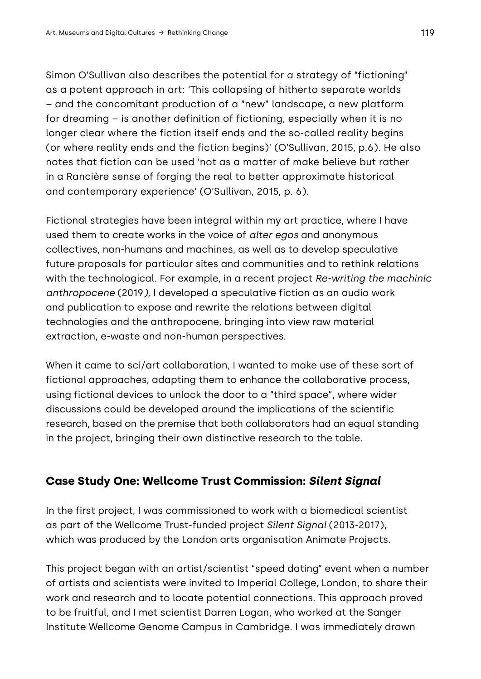Simon O'Sullivan also describes the potential for a strategy of "fictioning" as a potent approach in art: 'This collapsing of hitherto separate worlds – and the concomitant production of a "new" landscape, a new platform for dreaming – is another definition of fictioning, especially when it is no longer clear where the fiction itself ends and the so-called reality begins (or where reality ends and the fiction begins)' (O'Sullivan, 2015, p.6). He also notes that fiction can be used 'not as a matter of make believe but rather in a Rancière sense of forging the real to better approximate historical and contemporary experience' (O'Sullivan, 2015, p. 6).

Fictional strategies have been integral within my art practice, where I have used them to create works in the voice of *alter egos* and anonymous collectives, non-humans and machines, as well as to develop speculative future proposals for particular sites and communities and to rethink relations with the technological. For example, in a recent project *Re-writing the machinic anthropocene* (2019*),* I developed a speculative fiction as an audio work and publication to expose and rewrite the relations between digital technologies and the anthropocene, bringing into view raw material extraction, e-waste and non-human perspectives.

When it came to sci/art collaboration, I wanted to make use of these sort of fictional approaches, adapting them to enhance the collaborative process, using fictional devices to unlock the door to a "third space", where wider discussions could be developed around the implications of the scientific research, based on the premise that both collaborators had an equal standing in the project, bringing their own distinctive research to the table.

# **Case Study One: Wellcome Trust Commission:** *Silent Signal*

In the first project, I was commissioned to work with a biomedical scientist as part of the Wellcome Trust-funded project *Silent Signal* (2013-2017), which was produced by the London arts organisation Animate Projects.

This project began with an artist/scientist "speed dating" event when a number of artists and scientists were invited to Imperial College, London, to share their work and research and to locate potential connections. This approach proved to be fruitful, and I met scientist Darren Logan, who worked at the Sanger Institute Wellcome Genome Campus in Cambridge. I was immediately drawn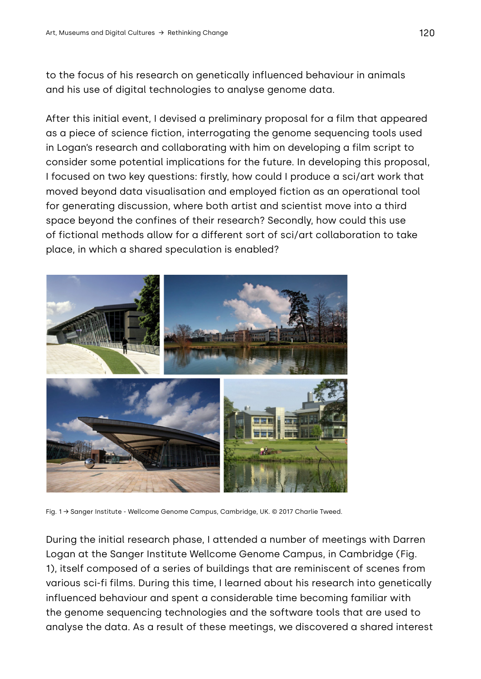to the focus of his research on genetically influenced behaviour in animals and his use of digital technologies to analyse genome data.

After this initial event, I devised a preliminary proposal for a film that appeared as a piece of science fiction, interrogating the genome sequencing tools used in Logan's research and collaborating with him on developing a film script to consider some potential implications for the future. In developing this proposal, I focused on two key questions: firstly, how could I produce a sci/art work that moved beyond data visualisation and employed fiction as an operational tool for generating discussion, where both artist and scientist move into a third space beyond the confines of their research? Secondly, how could this use of fictional methods allow for a different sort of sci/art collaboration to take place, in which a shared speculation is enabled?



Fig. 1 → Sanger Institute - Wellcome Genome Campus, Cambridge, UK. © 2017 Charlie Tweed.

During the initial research phase, I attended a number of meetings with Darren Logan at the Sanger Institute Wellcome Genome Campus, in Cambridge (Fig. 1), itself composed of a series of buildings that are reminiscent of scenes from various sci-fi films. During this time, I learned about his research into genetically influenced behaviour and spent a considerable time becoming familiar with the genome sequencing technologies and the software tools that are used to analyse the data. As a result of these meetings, we discovered a shared interest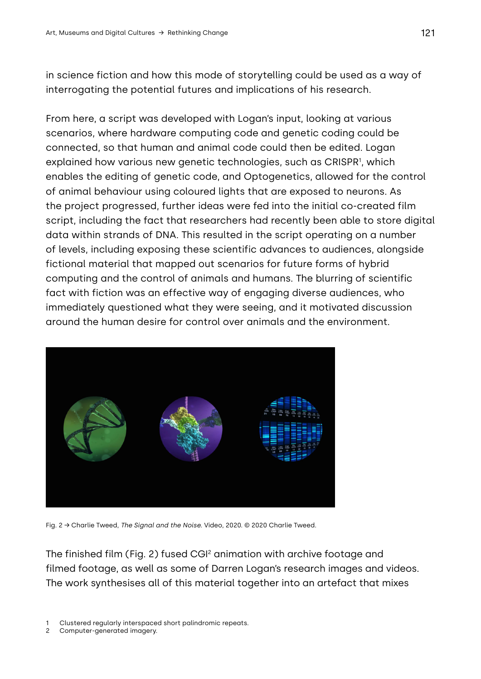in science fiction and how this mode of storytelling could be used as a way of interrogating the potential futures and implications of his research.

From here, a script was developed with Logan's input, looking at various scenarios, where hardware computing code and genetic coding could be connected, so that human and animal code could then be edited. Logan explained how various new genetic technologies, such as CRISPR1, which enables the editing of genetic code, and Optogenetics, allowed for the control of animal behaviour using coloured lights that are exposed to neurons. As the project progressed, further ideas were fed into the initial co-created film script, including the fact that researchers had recently been able to store digital data within strands of DNA. This resulted in the script operating on a number of levels, including exposing these scientific advances to audiences, alongside fictional material that mapped out scenarios for future forms of hybrid computing and the control of animals and humans. The blurring of scientific fact with fiction was an effective way of engaging diverse audiences, who immediately questioned what they were seeing, and it motivated discussion around the human desire for control over animals and the environment.



Fig. 2 → Charlie Tweed, *The Signal and the Noise.* Video, 2020. © 2020 Charlie Tweed.

The finished film (Fig. 2) fused CGI2 animation with archive footage and filmed footage, as well as some of Darren Logan's research images and videos. The work synthesises all of this material together into an artefact that mixes

- Clustered regularly interspaced short palindromic repeats.
- 2 Computer-generated imagery.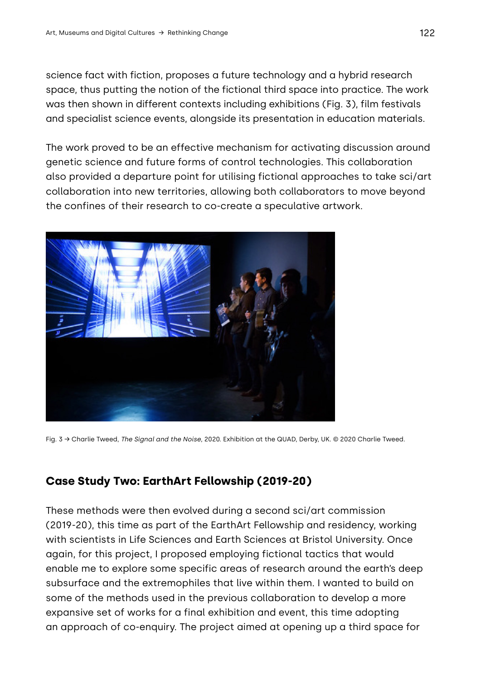science fact with fiction, proposes a future technology and a hybrid research space, thus putting the notion of the fictional third space into practice. The work was then shown in different contexts including exhibitions (Fig. 3), film festivals and specialist science events, alongside its presentation in education materials.

The work proved to be an effective mechanism for activating discussion around genetic science and future forms of control technologies. This collaboration also provided a departure point for utilising fictional approaches to take sci/art collaboration into new territories, allowing both collaborators to move beyond the confines of their research to co-create a speculative artwork.



Fig. 3 → Charlie Tweed, *The Signal and the Noise*, 2020. Exhibition at the QUAD, Derby, UK. © 2020 Charlie Tweed.

# **Case Study Two: EarthArt Fellowship (2019-20)**

These methods were then evolved during a second sci/art commission (2019-20), this time as part of the EarthArt Fellowship and residency, working with scientists in Life Sciences and Earth Sciences at Bristol University. Once again, for this project, I proposed employing fictional tactics that would enable me to explore some specific areas of research around the earth's deep subsurface and the extremophiles that live within them. I wanted to build on some of the methods used in the previous collaboration to develop a more expansive set of works for a final exhibition and event, this time adopting an approach of co-enquiry. The project aimed at opening up a third space for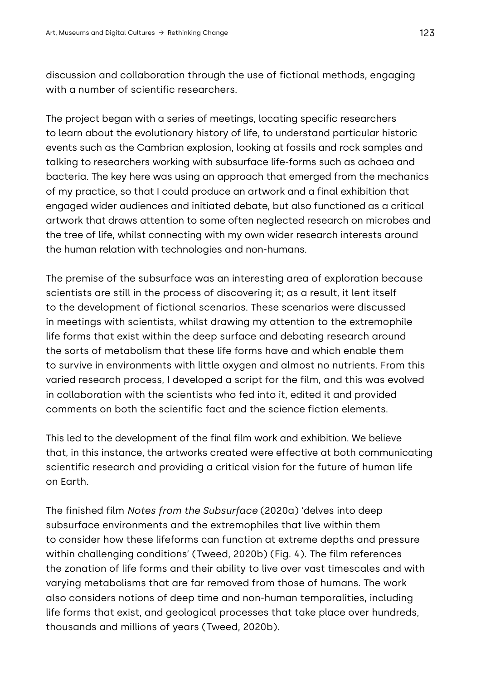discussion and collaboration through the use of fictional methods, engaging with a number of scientific researchers.

The project began with a series of meetings, locating specific researchers to learn about the evolutionary history of life, to understand particular historic events such as the Cambrian explosion, looking at fossils and rock samples and talking to researchers working with subsurface life-forms such as achaea and bacteria. The key here was using an approach that emerged from the mechanics of my practice, so that I could produce an artwork and a final exhibition that engaged wider audiences and initiated debate, but also functioned as a critical artwork that draws attention to some often neglected research on microbes and the tree of life, whilst connecting with my own wider research interests around the human relation with technologies and non-humans.

The premise of the subsurface was an interesting area of exploration because scientists are still in the process of discovering it; as a result, it lent itself to the development of fictional scenarios. These scenarios were discussed in meetings with scientists, whilst drawing my attention to the extremophile life forms that exist within the deep surface and debating research around the sorts of metabolism that these life forms have and which enable them to survive in environments with little oxygen and almost no nutrients. From this varied research process, I developed a script for the film, and this was evolved in collaboration with the scientists who fed into it, edited it and provided comments on both the scientific fact and the science fiction elements.

This led to the development of the final film work and exhibition. We believe that, in this instance, the artworks created were effective at both communicating scientific research and providing a critical vision for the future of human life on Earth.

The finished film *Notes from the Subsurface* (2020a) 'delves into deep subsurface environments and the extremophiles that live within them to consider how these lifeforms can function at extreme depths and pressure within challenging conditions' (Tweed, 2020b) (Fig. 4). The film references the zonation of life forms and their ability to live over vast timescales and with varying metabolisms that are far removed from those of humans. The work also considers notions of deep time and non-human temporalities, including life forms that exist, and geological processes that take place over hundreds, thousands and millions of years (Tweed, 2020b).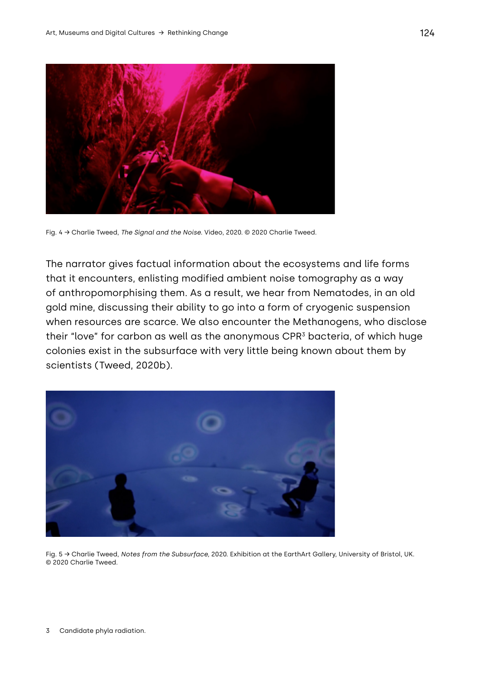

Fig. 4 → Charlie Tweed, *The Signal and the Noise*. Video, 2020. © 2020 Charlie Tweed.

The narrator gives factual information about the ecosystems and life forms that it encounters, enlisting modified ambient noise tomography as a way of anthropomorphising them. As a result, we hear from Nematodes, in an old gold mine, discussing their ability to go into a form of cryogenic suspension when resources are scarce. We also encounter the Methanogens, who disclose their "love" for carbon as well as the anonymous CPR<sup>3</sup> bacteria, of which huge colonies exist in the subsurface with very little being known about them by scientists (Tweed, 2020b).



Fig. 5 → Charlie Tweed, *Notes from the Subsurface,* 2020. Exhibition at the EarthArt Gallery, University of Bristol, UK. © 2020 Charlie Tweed.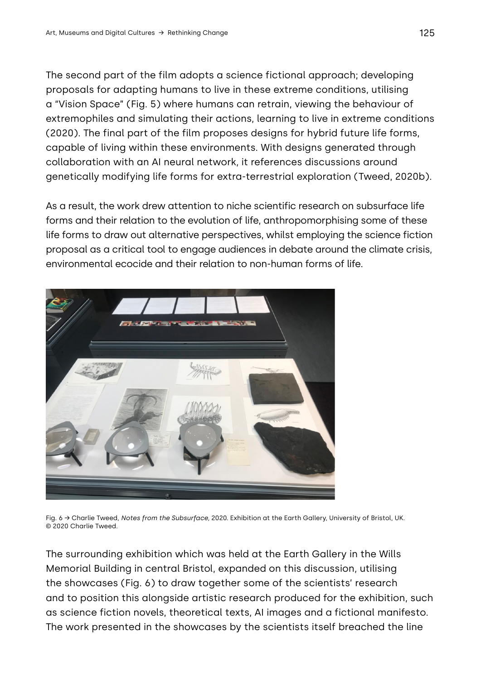The second part of the film adopts a science fictional approach; developing proposals for adapting humans to live in these extreme conditions, utilising a "Vision Space" (Fig. 5) where humans can retrain, viewing the behaviour of extremophiles and simulating their actions, learning to live in extreme conditions (2020). The final part of the film proposes designs for hybrid future life forms, capable of living within these environments. With designs generated through collaboration with an AI neural network, it references discussions around genetically modifying life forms for extra-terrestrial exploration (Tweed, 2020b).

As a result, the work drew attention to niche scientific research on subsurface life forms and their relation to the evolution of life, anthropomorphising some of these life forms to draw out alternative perspectives, whilst employing the science fiction proposal as a critical tool to engage audiences in debate around the climate crisis, environmental ecocide and their relation to non-human forms of life.



Fig. 6 → Charlie Tweed, *Notes from the Subsurface,* 2020. Exhibition at the Earth Gallery, University of Bristol, UK. © 2020 Charlie Tweed.

The surrounding exhibition which was held at the Earth Gallery in the Wills Memorial Building in central Bristol, expanded on this discussion, utilising the showcases (Fig. 6) to draw together some of the scientists' research and to position this alongside artistic research produced for the exhibition, such as science fiction novels, theoretical texts, AI images and a fictional manifesto. The work presented in the showcases by the scientists itself breached the line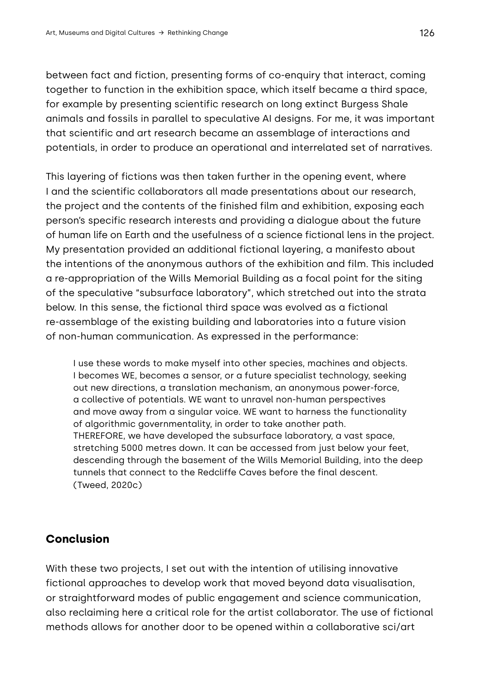between fact and fiction, presenting forms of co-enquiry that interact, coming together to function in the exhibition space, which itself became a third space, for example by presenting scientific research on long extinct Burgess Shale animals and fossils in parallel to speculative AI designs. For me, it was important that scientific and art research became an assemblage of interactions and potentials, in order to produce an operational and interrelated set of narratives.

This layering of fictions was then taken further in the opening event, where I and the scientific collaborators all made presentations about our research, the project and the contents of the finished film and exhibition, exposing each person's specific research interests and providing a dialogue about the future of human life on Earth and the usefulness of a science fictional lens in the project. My presentation provided an additional fictional layering, a manifesto about the intentions of the anonymous authors of the exhibition and film. This included a re-appropriation of the Wills Memorial Building as a focal point for the siting of the speculative "subsurface laboratory", which stretched out into the strata below. In this sense, the fictional third space was evolved as a fictional re-assemblage of the existing building and laboratories into a future vision of non-human communication. As expressed in the performance:

I use these words to make myself into other species, machines and objects. I becomes WE, becomes a sensor, or a future specialist technology, seeking out new directions, a translation mechanism, an anonymous power-force, a collective of potentials. WE want to unravel non-human perspectives and move away from a singular voice. WE want to harness the functionality of algorithmic governmentality, in order to take another path. THEREFORE, we have developed the subsurface laboratory, a vast space, stretching 5000 metres down. It can be accessed from just below your feet, descending through the basement of the Wills Memorial Building, into the deep tunnels that connect to the Redcliffe Caves before the final descent. (Tweed, 2020c)

# **Conclusion**

With these two projects, I set out with the intention of utilising innovative fictional approaches to develop work that moved beyond data visualisation, or straightforward modes of public engagement and science communication, also reclaiming here a critical role for the artist collaborator. The use of fictional methods allows for another door to be opened within a collaborative sci/art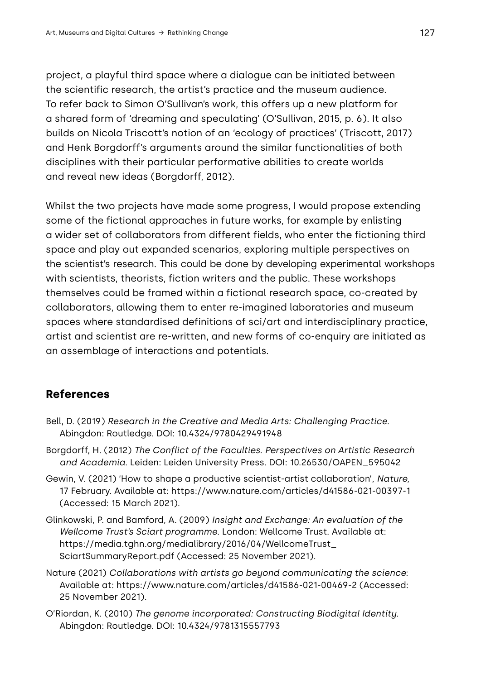project, a playful third space where a dialogue can be initiated between the scientific research, the artist's practice and the museum audience. To refer back to Simon O'Sullivan's work, this offers up a new platform for a shared form of 'dreaming and speculating' (O'Sullivan, 2015, p. 6). It also builds on Nicola Triscott's notion of an 'ecology of practices' (Triscott, 2017) and Henk Borgdorff's arguments around the similar functionalities of both disciplines with their particular performative abilities to create worlds and reveal new ideas (Borgdorff, 2012).

Whilst the two projects have made some progress, I would propose extending some of the fictional approaches in future works, for example by enlisting a wider set of collaborators from different fields, who enter the fictioning third space and play out expanded scenarios, exploring multiple perspectives on the scientist's research. This could be done by developing experimental workshops with scientists, theorists, fiction writers and the public. These workshops themselves could be framed within a fictional research space, co-created by collaborators, allowing them to enter re-imagined laboratories and museum spaces where standardised definitions of sci/art and interdisciplinary practice, artist and scientist are re-written, and new forms of co-enquiry are initiated as an assemblage of interactions and potentials.

# **References**

- Bell, D. (2019) *Research in the Creative and Media Arts: Challenging Practice.* Abingdon: Routledge. DOI: 10.4324/9780429491948
- Borgdorff, H. (2012) *The Conflict of the Faculties. Perspectives on Artistic Research and Academia*. Leiden: Leiden University Press. DOI: 10.26530/OAPEN\_595042
- Gewin, V. (2021) 'How to shape a productive scientist-artist collaboration'*, Nature,*  17 February. Available at:<https://www.nature.com/articles/d41586-021-00397-1> (Accessed: 15 March 2021).
- Glinkowski, P. and Bamford, A. (2009) *Insight and Exchange: An evaluation of the Wellcome Trust's Sciart programme*. London: Wellcome Trust. Available at: [https://media.tghn.org/medialibrary/2016/04/WellcomeTrust\\_](https://media.tghn.org/medialibrary/2016/04/WellcomeTrust_SciartSummaryReport.pdf) [SciartSummaryReport.pdf](https://media.tghn.org/medialibrary/2016/04/WellcomeTrust_SciartSummaryReport.pdf) (Accessed: 25 November 2021).
- Nature (2021) *Collaborations with artists go beyond communicating the science*: Available at:<https://www.nature.com/articles/d41586-021-00469-2>(Accessed: 25 November 2021).
- O'Riordan, K. (2010) *The genome incorporated: Constructing Biodigital Identity.*  Abingdon: Routledge. DOI: 10.4324/9781315557793